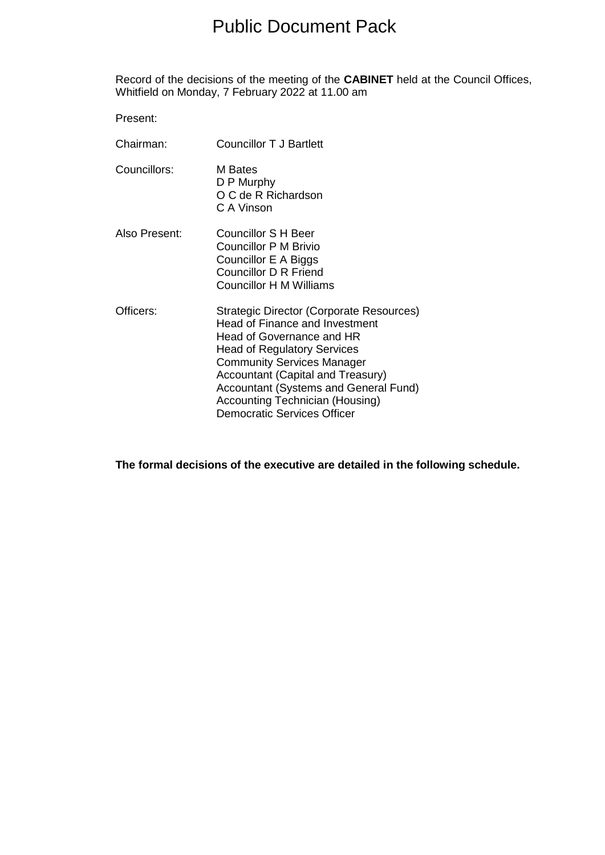## Public Document Pack

Record of the decisions of the meeting of the **CABINET** held at the Council Offices, Whitfield on Monday, 7 February 2022 at 11.00 am

Present:

| Chairman:     | Councillor T J Bartlett                                                                                                                                                                                                                                                                                                                                 |
|---------------|---------------------------------------------------------------------------------------------------------------------------------------------------------------------------------------------------------------------------------------------------------------------------------------------------------------------------------------------------------|
| Councillors:  | M Bates<br>D P Murphy<br>O C de R Richardson<br>C A Vinson                                                                                                                                                                                                                                                                                              |
| Also Present: | Councillor S H Beer<br>Councillor P M Brivio<br>Councillor E A Biggs<br><b>Councillor D R Friend</b><br><b>Councillor H M Williams</b>                                                                                                                                                                                                                  |
| Officers:     | <b>Strategic Director (Corporate Resources)</b><br>Head of Finance and Investment<br>Head of Governance and HR<br><b>Head of Regulatory Services</b><br><b>Community Services Manager</b><br><b>Accountant (Capital and Treasury)</b><br>Accountant (Systems and General Fund)<br>Accounting Technician (Housing)<br><b>Democratic Services Officer</b> |

**The formal decisions of the executive are detailed in the following schedule.**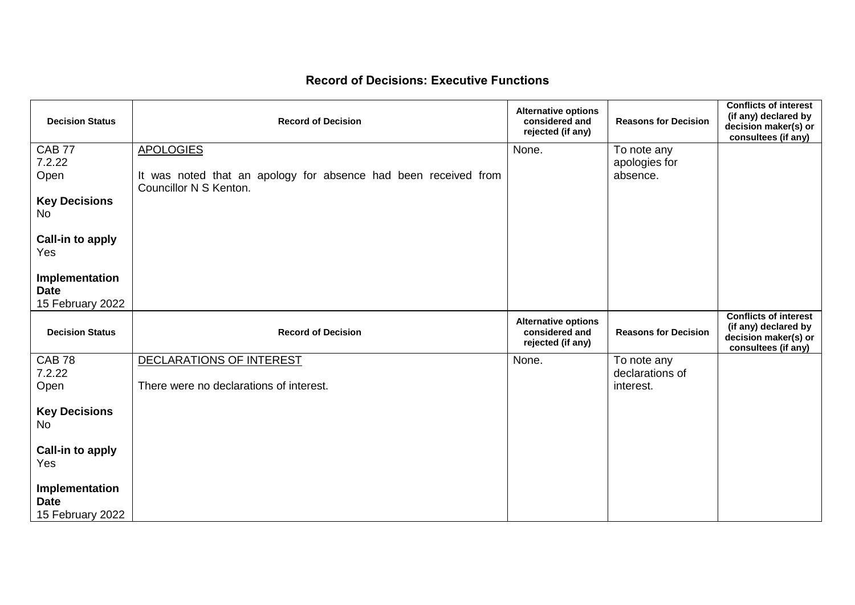## **Record of Decisions: Executive Functions**

| <b>Decision Status</b>                            | <b>Record of Decision</b>                                                                 | <b>Alternative options</b><br>considered and<br>rejected (if any) | <b>Reasons for Decision</b> | <b>Conflicts of interest</b><br>(if any) declared by<br>decision maker(s) or<br>consultees (if any) |
|---------------------------------------------------|-------------------------------------------------------------------------------------------|-------------------------------------------------------------------|-----------------------------|-----------------------------------------------------------------------------------------------------|
| CAB <sub>77</sub>                                 | <b>APOLOGIES</b>                                                                          | None.                                                             | To note any                 |                                                                                                     |
| 7.2.22                                            |                                                                                           |                                                                   | apologies for               |                                                                                                     |
| Open                                              | It was noted that an apology for absence had been received from<br>Councillor N S Kenton. |                                                                   | absence.                    |                                                                                                     |
| <b>Key Decisions</b><br><b>No</b>                 |                                                                                           |                                                                   |                             |                                                                                                     |
| Call-in to apply<br>Yes                           |                                                                                           |                                                                   |                             |                                                                                                     |
| Implementation<br><b>Date</b><br>15 February 2022 |                                                                                           |                                                                   |                             |                                                                                                     |
| <b>Decision Status</b>                            | <b>Record of Decision</b>                                                                 | <b>Alternative options</b><br>considered and<br>rejected (if any) | <b>Reasons for Decision</b> | <b>Conflicts of interest</b><br>(if any) declared by<br>decision maker(s) or                        |
|                                                   |                                                                                           |                                                                   |                             | consultees (if any)                                                                                 |
| <b>CAB 78</b>                                     | DECLARATIONS OF INTEREST                                                                  | None.                                                             | To note any                 |                                                                                                     |
| 7.2.22                                            |                                                                                           |                                                                   | declarations of             |                                                                                                     |
| Open                                              | There were no declarations of interest.                                                   |                                                                   | interest.                   |                                                                                                     |
| <b>Key Decisions</b><br><b>No</b>                 |                                                                                           |                                                                   |                             |                                                                                                     |
| Call-in to apply<br>Yes                           |                                                                                           |                                                                   |                             |                                                                                                     |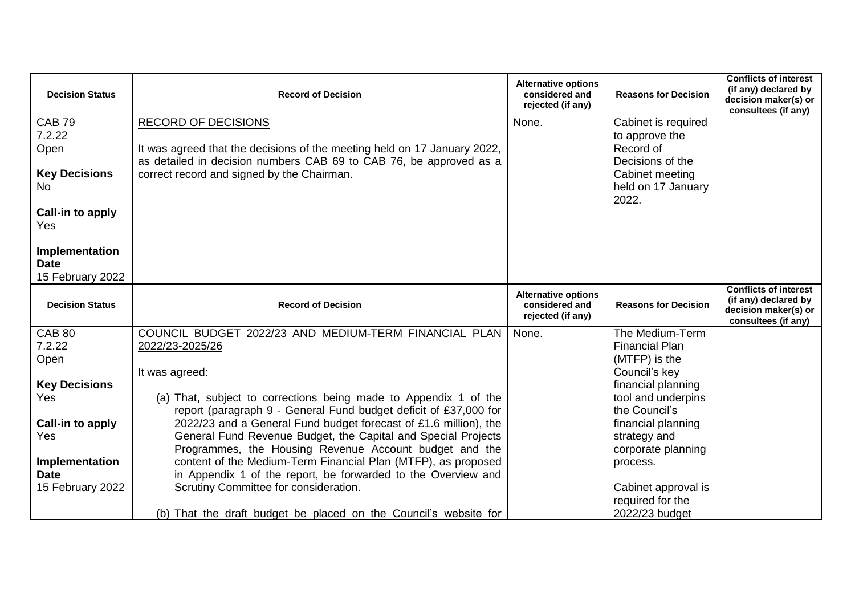| <b>Decision Status</b>  | <b>Record of Decision</b>                                                                                               | <b>Alternative options</b><br>considered and<br>rejected (if any) | <b>Reasons for Decision</b>         | <b>Conflicts of interest</b><br>(if any) declared by<br>decision maker(s) or<br>consultees (if any) |
|-------------------------|-------------------------------------------------------------------------------------------------------------------------|-------------------------------------------------------------------|-------------------------------------|-----------------------------------------------------------------------------------------------------|
| <b>CAB 79</b>           | <b>RECORD OF DECISIONS</b>                                                                                              | None.                                                             | Cabinet is required                 |                                                                                                     |
| 7.2.22                  |                                                                                                                         |                                                                   | to approve the                      |                                                                                                     |
| Open                    | It was agreed that the decisions of the meeting held on 17 January 2022,                                                |                                                                   | Record of                           |                                                                                                     |
| <b>Key Decisions</b>    | as detailed in decision numbers CAB 69 to CAB 76, be approved as a<br>correct record and signed by the Chairman.        |                                                                   | Decisions of the<br>Cabinet meeting |                                                                                                     |
| No.                     |                                                                                                                         |                                                                   | held on 17 January                  |                                                                                                     |
|                         |                                                                                                                         |                                                                   | 2022.                               |                                                                                                     |
| Call-in to apply        |                                                                                                                         |                                                                   |                                     |                                                                                                     |
| Yes                     |                                                                                                                         |                                                                   |                                     |                                                                                                     |
| Implementation          |                                                                                                                         |                                                                   |                                     |                                                                                                     |
| <b>Date</b>             |                                                                                                                         |                                                                   |                                     |                                                                                                     |
| 15 February 2022        |                                                                                                                         |                                                                   |                                     |                                                                                                     |
|                         |                                                                                                                         | <b>Alternative options</b>                                        |                                     | <b>Conflicts of interest</b>                                                                        |
|                         |                                                                                                                         |                                                                   |                                     |                                                                                                     |
| <b>Decision Status</b>  | <b>Record of Decision</b>                                                                                               | considered and<br>rejected (if any)                               | <b>Reasons for Decision</b>         | (if any) declared by<br>decision maker(s) or                                                        |
| <b>CAB 80</b>           | COUNCIL BUDGET 2022/23 AND MEDIUM-TERM FINANCIAL PLAN                                                                   | None.                                                             | The Medium-Term                     | consultees (if any)                                                                                 |
| 7.2.22                  | 2022/23-2025/26                                                                                                         |                                                                   | <b>Financial Plan</b>               |                                                                                                     |
| Open                    |                                                                                                                         |                                                                   | (MTFP) is the                       |                                                                                                     |
|                         | It was agreed:                                                                                                          |                                                                   | Council's key                       |                                                                                                     |
| <b>Key Decisions</b>    |                                                                                                                         |                                                                   | financial planning                  |                                                                                                     |
| Yes                     | (a) That, subject to corrections being made to Appendix 1 of the                                                        |                                                                   | tool and underpins                  |                                                                                                     |
|                         | report (paragraph 9 - General Fund budget deficit of £37,000 for                                                        |                                                                   | the Council's                       |                                                                                                     |
| Call-in to apply<br>Yes | 2022/23 and a General Fund budget forecast of £1.6 million), the                                                        |                                                                   | financial planning                  |                                                                                                     |
|                         | General Fund Revenue Budget, the Capital and Special Projects<br>Programmes, the Housing Revenue Account budget and the |                                                                   | strategy and<br>corporate planning  |                                                                                                     |
| Implementation          | content of the Medium-Term Financial Plan (MTFP), as proposed                                                           |                                                                   | process.                            |                                                                                                     |
| <b>Date</b>             | in Appendix 1 of the report, be forwarded to the Overview and                                                           |                                                                   |                                     |                                                                                                     |
| 15 February 2022        | Scrutiny Committee for consideration.                                                                                   |                                                                   | Cabinet approval is                 |                                                                                                     |
|                         | (b) That the draft budget be placed on the Council's website for                                                        |                                                                   | required for the<br>2022/23 budget  |                                                                                                     |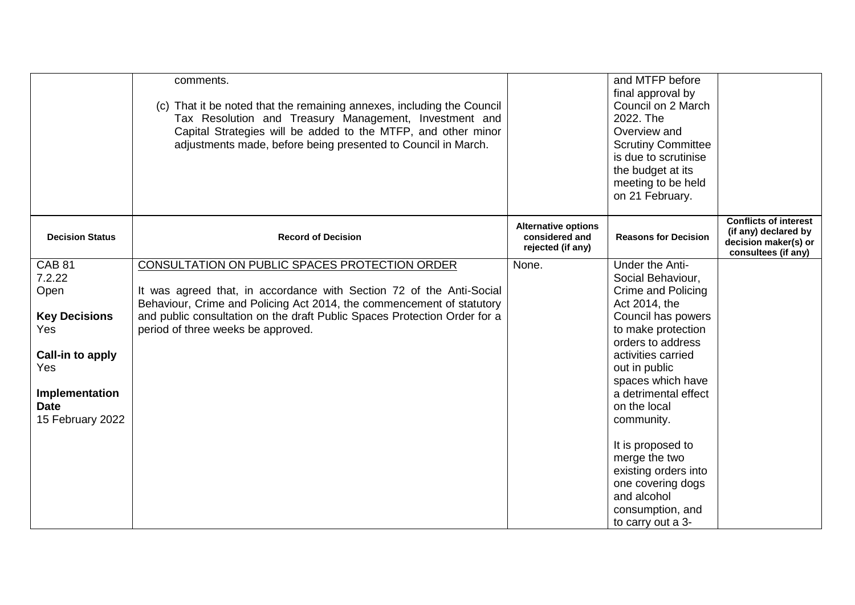|                                                                                                                                                       | comments.<br>(c) That it be noted that the remaining annexes, including the Council<br>Tax Resolution and Treasury Management, Investment and<br>Capital Strategies will be added to the MTFP, and other minor<br>adjustments made, before being presented to Council in March.                                    |                                                                   | and MTFP before<br>final approval by<br>Council on 2 March<br>2022. The<br>Overview and<br><b>Scrutiny Committee</b><br>is due to scrutinise<br>the budget at its<br>meeting to be held<br>on 21 February.                                                                                                                                                                                                       |                                                                                                     |
|-------------------------------------------------------------------------------------------------------------------------------------------------------|--------------------------------------------------------------------------------------------------------------------------------------------------------------------------------------------------------------------------------------------------------------------------------------------------------------------|-------------------------------------------------------------------|------------------------------------------------------------------------------------------------------------------------------------------------------------------------------------------------------------------------------------------------------------------------------------------------------------------------------------------------------------------------------------------------------------------|-----------------------------------------------------------------------------------------------------|
| <b>Decision Status</b>                                                                                                                                | <b>Record of Decision</b>                                                                                                                                                                                                                                                                                          | <b>Alternative options</b><br>considered and<br>rejected (if any) | <b>Reasons for Decision</b>                                                                                                                                                                                                                                                                                                                                                                                      | <b>Conflicts of interest</b><br>(if any) declared by<br>decision maker(s) or<br>consultees (if any) |
| <b>CAB 81</b><br>7.2.22<br>Open<br><b>Key Decisions</b><br>Yes<br><b>Call-in to apply</b><br>Yes<br>Implementation<br><b>Date</b><br>15 February 2022 | CONSULTATION ON PUBLIC SPACES PROTECTION ORDER<br>It was agreed that, in accordance with Section 72 of the Anti-Social<br>Behaviour, Crime and Policing Act 2014, the commencement of statutory<br>and public consultation on the draft Public Spaces Protection Order for a<br>period of three weeks be approved. | None.                                                             | Under the Anti-<br>Social Behaviour,<br><b>Crime and Policing</b><br>Act 2014, the<br>Council has powers<br>to make protection<br>orders to address<br>activities carried<br>out in public<br>spaces which have<br>a detrimental effect<br>on the local<br>community.<br>It is proposed to<br>merge the two<br>existing orders into<br>one covering dogs<br>and alcohol<br>consumption, and<br>to carry out a 3- |                                                                                                     |